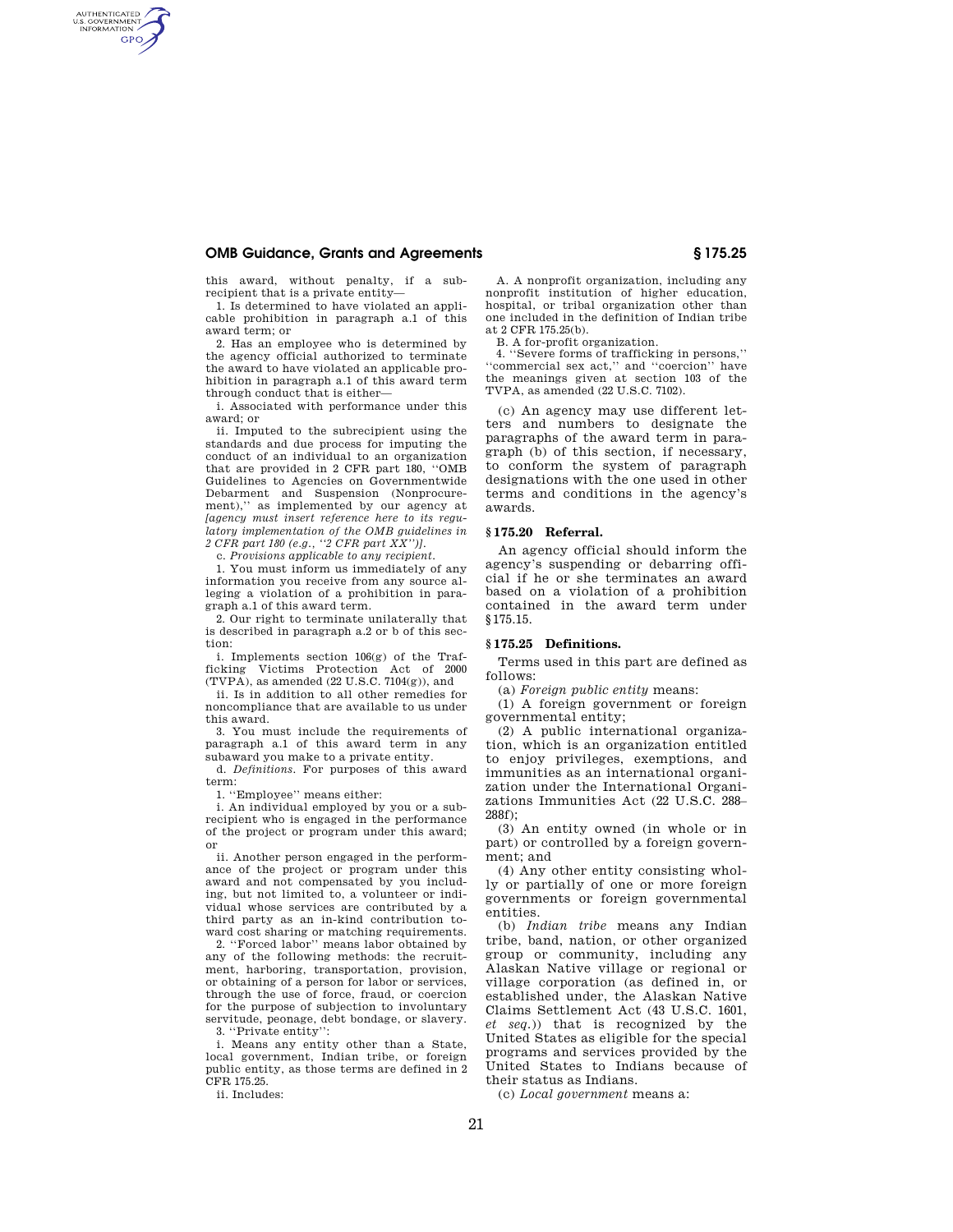### **OMB Guidance, Grants and Agreements § 175.25**

AUTHENTICATED<br>U.S. GOVERNMENT<br>INFORMATION **GPO** 

> this award, without penalty, if a subrecipient that is a private entity—

> 1. Is determined to have violated an applicable prohibition in paragraph a.1 of this award term; or

> 2. Has an employee who is determined by the agency official authorized to terminate the award to have violated an applicable prohibition in paragraph a.1 of this award term through conduct that is either—

> i. Associated with performance under this award; or

> ii. Imputed to the subrecipient using the standards and due process for imputing the conduct of an individual to an organization that are provided in 2 CFR part 180, ''OMB Guidelines to Agencies on Governmentwide Debarment and Suspension (Nonprocurement),'' as implemented by our agency at *[agency must insert reference here to its regulatory implementation of the OMB guidelines in 2 CFR part 180 (e.g., ''2 CFR part XX'')]*.

c. *Provisions applicable to any recipient*.

1. You must inform us immediately of any information you receive from any source alleging a violation of a prohibition in paragraph a.1 of this award term.

2. Our right to terminate unilaterally that is described in paragraph a.2 or b of this section:

i. Implements section 106(g) of the Trafficking Victims Protection Act of 2000  $(TVPA)$ , as amended  $(22 U.S.C. 7104(g))$ , and

ii. Is in addition to all other remedies for noncompliance that are available to us under this award.

3. You must include the requirements of paragraph a.1 of this award term in any subaward you make to a private entity.

d. *Definitions*. For purposes of this award term:

1. ''Employee'' means either:

i. An individual employed by you or a subrecipient who is engaged in the performance of the project or program under this award; or

ii. Another person engaged in the performance of the project or program under this award and not compensated by you including, but not limited to, a volunteer or individual whose services are contributed by a third party as an in-kind contribution toward cost sharing or matching requirements.

2. ''Forced labor'' means labor obtained by any of the following methods: the recruitment, harboring, transportation, provision, or obtaining of a person for labor or services, through the use of force, fraud, or coercion for the purpose of subjection to involuntary servitude, peonage, debt bondage, or slavery. 3. ''Private entity'':

i. Means any entity other than a State, local government, Indian tribe, or foreign public entity, as those terms are defined in 2 CFR 175.25.

ii. Includes:

A. A nonprofit organization, including any nonprofit institution of higher education, hospital, or tribal organization other than one included in the definition of Indian tribe at 2 CFR 175.25(b).

B. A for-profit organization.

4. ''Severe forms of trafficking in persons,'' ''commercial sex act,'' and ''coercion'' have the meanings given at section 103 of the TVPA, as amended (22 U.S.C. 7102).

(c) An agency may use different letters and numbers to designate the paragraphs of the award term in paragraph (b) of this section, if necessary, to conform the system of paragraph designations with the one used in other terms and conditions in the agency's awards.

#### **§ 175.20 Referral.**

An agency official should inform the agency's suspending or debarring official if he or she terminates an award based on a violation of a prohibition contained in the award term under §175.15.

### **§ 175.25 Definitions.**

Terms used in this part are defined as follows:

(a) *Foreign public entity* means:

(1) A foreign government or foreign governmental entity;

(2) A public international organization, which is an organization entitled to enjoy privileges, exemptions, and immunities as an international organization under the International Organizations Immunities Act (22 U.S.C. 288– 288f);

(3) An entity owned (in whole or in part) or controlled by a foreign government; and

(4) Any other entity consisting wholly or partially of one or more foreign governments or foreign governmental entities.

(b) *Indian tribe* means any Indian tribe, band, nation, or other organized group or community, including any Alaskan Native village or regional or village corporation (as defined in, or established under, the Alaskan Native Claims Settlement Act (43 U.S.C. 1601, *et seq.*)) that is recognized by the United States as eligible for the special programs and services provided by the United States to Indians because of their status as Indians.

(c) *Local government* means a: